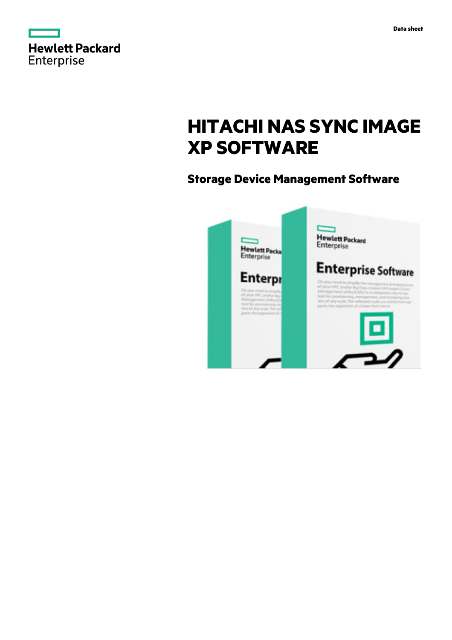|                   | <b>Hewlett Packard</b> |
|-------------------|------------------------|
| <b>Enterprise</b> |                        |

# **HITACHI NAS SYNC IMAGE XP SOFTWARE**

## **Storage Device Management Software**